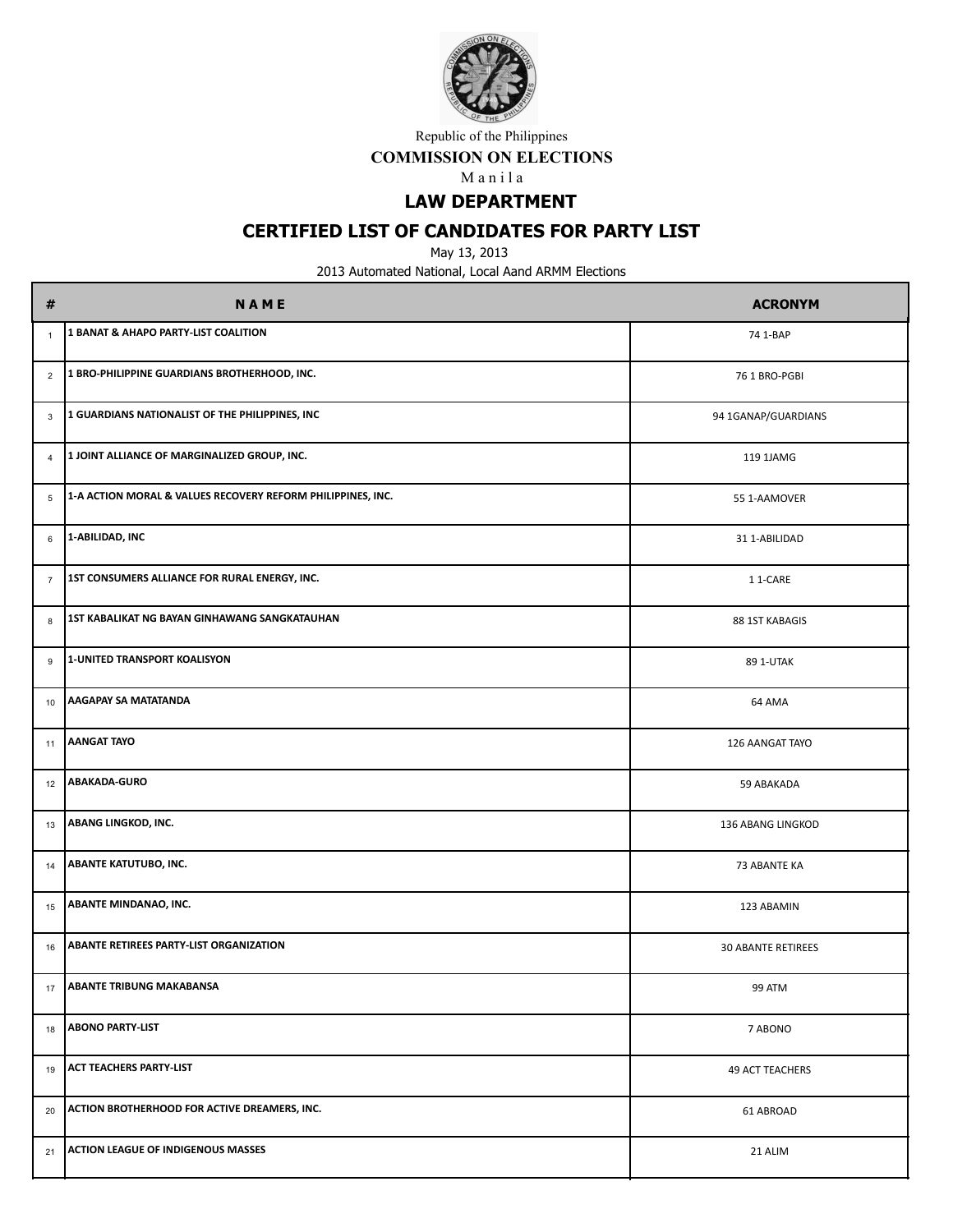

**COMMISSION ON ELECTIONS**

M a n i l a

**LAW DEPARTMENT**

# **CERTIFIED LIST OF CANDIDATES FOR PARTY LIST**

May 13, 2013

| #              | <b>NAME</b>                                                 | <b>ACRONYM</b>            |
|----------------|-------------------------------------------------------------|---------------------------|
| $\overline{1}$ | 1 BANAT & AHAPO PARTY-LIST COALITION                        | 74 1-BAP                  |
| $\overline{2}$ | 1 BRO-PHILIPPINE GUARDIANS BROTHERHOOD, INC.                | 76 1 BRO-PGBI             |
| $\mathbf{3}$   | 1 GUARDIANS NATIONALIST OF THE PHILIPPINES, INC             | 94 1GANAP/GUARDIANS       |
| $\overline{4}$ | 1 JOINT ALLIANCE OF MARGINALIZED GROUP, INC.                | 119 1JAMG                 |
| 5              | 1-A ACTION MORAL & VALUES RECOVERY REFORM PHILIPPINES, INC. | 55 1-AAMOVER              |
| 6              | 1-ABILIDAD, INC                                             | 31 1-ABILIDAD             |
| $\overline{7}$ | 1ST CONSUMERS ALLIANCE FOR RURAL ENERGY, INC.               | 11-CARE                   |
| 8              | 1ST KABALIKAT NG BAYAN GINHAWANG SANGKATAUHAN               | 88 1ST KABAGIS            |
| 9              | 1-UNITED TRANSPORT KOALISYON                                | 89 1-UTAK                 |
| 10             | <b>AAGAPAY SA MATATANDA</b>                                 | 64 AMA                    |
| 11             | <b>AANGAT TAYO</b>                                          | 126 AANGAT TAYO           |
| 12             | ABAKADA-GURO                                                | 59 ABAKADA                |
| 13             | ABANG LINGKOD, INC.                                         | 136 ABANG LINGKOD         |
| 14             | <b>ABANTE KATUTUBO, INC.</b>                                | 73 ABANTE KA              |
| 15             | <b>ABANTE MINDANAO, INC.</b>                                | 123 ABAMIN                |
| 16             | ABANTE RETIREES PARTY-LIST ORGANIZATION                     | <b>30 ABANTE RETIREES</b> |
| 17             | <b>ABANTE TRIBUNG MAKABANSA</b>                             | 99 ATM                    |
| 18             | <b>ABONO PARTY-LIST</b>                                     | 7 ABONO                   |
| 19             | <b>ACT TEACHERS PARTY-LIST</b>                              | <b>49 ACT TEACHERS</b>    |
| 20             | ACTION BROTHERHOOD FOR ACTIVE DREAMERS, INC.                | 61 ABROAD                 |
| 21             | <b>ACTION LEAGUE OF INDIGENOUS MASSES</b>                   | 21 ALIM                   |
|                |                                                             |                           |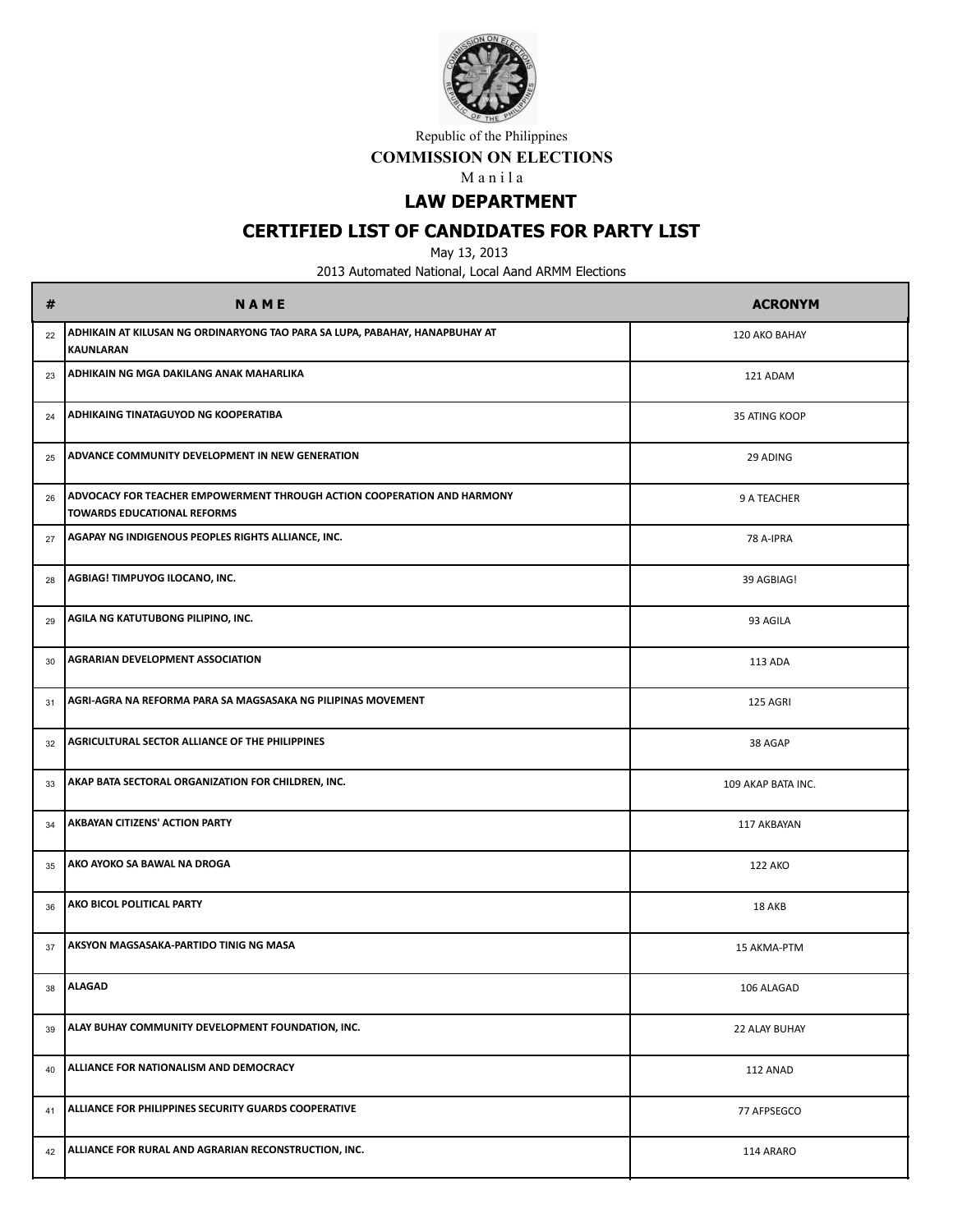

#### **COMMISSION ON ELECTIONS**

M a n i l a

# **LAW DEPARTMENT**

## **CERTIFIED LIST OF CANDIDATES FOR PARTY LIST**

May 13, 2013

| #  | <b>NAME</b>                                                                                                   | <b>ACRONYM</b>     |
|----|---------------------------------------------------------------------------------------------------------------|--------------------|
| 22 | ADHIKAIN AT KILUSAN NG ORDINARYONG TAO PARA SA LUPA, PABAHAY, HANAPBUHAY AT<br><b>KAUNLARAN</b>               | 120 AKO BAHAY      |
| 23 | <b>ADHIKAIN NG MGA DAKILANG ANAK MAHARLIKA</b>                                                                | 121 ADAM           |
| 24 | <b>ADHIKAING TINATAGUYOD NG KOOPERATIBA</b>                                                                   | 35 ATING KOOP      |
| 25 | ADVANCE COMMUNITY DEVELOPMENT IN NEW GENERATION                                                               | 29 ADING           |
| 26 | ADVOCACY FOR TEACHER EMPOWERMENT THROUGH ACTION COOPERATION AND HARMONY<br><b>TOWARDS EDUCATIONAL REFORMS</b> | 9 A TEACHER        |
| 27 | <b>AGAPAY NG INDIGENOUS PEOPLES RIGHTS ALLIANCE, INC.</b>                                                     | 78 A-IPRA          |
| 28 | AGBIAG! TIMPUYOG ILOCANO, INC.                                                                                | 39 AGBIAG!         |
| 29 | AGILA NG KATUTUBONG PILIPINO, INC.                                                                            | 93 AGILA           |
| 30 | <b>AGRARIAN DEVELOPMENT ASSOCIATION</b>                                                                       | 113 ADA            |
| 31 | AGRI-AGRA NA REFORMA PARA SA MAGSASAKA NG PILIPINAS MOVEMENT                                                  | 125 AGRI           |
| 32 | <b>AGRICULTURAL SECTOR ALLIANCE OF THE PHILIPPINES</b>                                                        | 38 AGAP            |
| 33 | AKAP BATA SECTORAL ORGANIZATION FOR CHILDREN, INC.                                                            | 109 AKAP BATA INC. |
| 34 | <b>AKBAYAN CITIZENS' ACTION PARTY</b>                                                                         | 117 AKBAYAN        |
| 35 | <b>AKO AYOKO SA BAWAL NA DROGA</b>                                                                            | <b>122 AKO</b>     |
| 36 | AKO BICOL POLITICAL PARTY                                                                                     | 18 AKB             |
| 37 | <b>AKSYON MAGSASAKA-PARTIDO TINIG NG MASA</b>                                                                 | 15 AKMA-PTM        |
| 38 | <b>ALAGAD</b>                                                                                                 | 106 ALAGAD         |
| 39 | ALAY BUHAY COMMUNITY DEVELOPMENT FOUNDATION, INC.                                                             | 22 ALAY BUHAY      |
| 40 | ALLIANCE FOR NATIONALISM AND DEMOCRACY                                                                        | 112 ANAD           |
| 41 | ALLIANCE FOR PHILIPPINES SECURITY GUARDS COOPERATIVE                                                          | 77 AFPSEGCO        |
| 42 | ALLIANCE FOR RURAL AND AGRARIAN RECONSTRUCTION, INC.                                                          | 114 ARARO          |
|    |                                                                                                               |                    |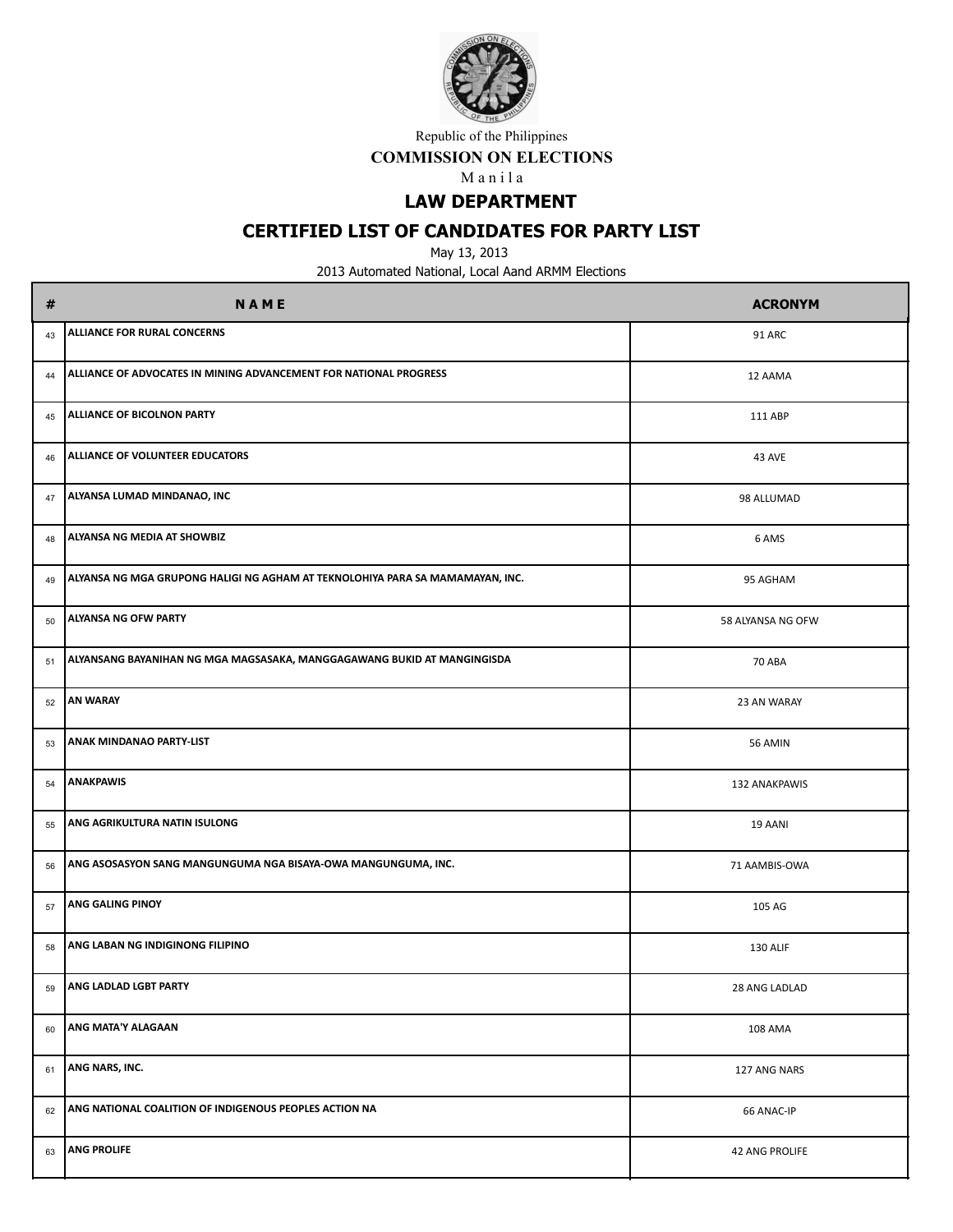

#### **COMMISSION ON ELECTIONS**

M a n i l a

**LAW DEPARTMENT**

## **CERTIFIED LIST OF CANDIDATES FOR PARTY LIST**

May 13, 2013

| #  | <b>NAME</b>                                                                   | <b>ACRONYM</b>    |
|----|-------------------------------------------------------------------------------|-------------------|
| 43 | <b>ALLIANCE FOR RURAL CONCERNS</b>                                            | 91 ARC            |
| 44 | ALLIANCE OF ADVOCATES IN MINING ADVANCEMENT FOR NATIONAL PROGRESS             | 12 AAMA           |
| 45 | ALLIANCE OF BICOLNON PARTY                                                    | 111 ABP           |
| 46 | ALLIANCE OF VOLUNTEER EDUCATORS                                               | 43 AVE            |
| 47 | ALYANSA LUMAD MINDANAO, INC                                                   | 98 ALLUMAD        |
| 48 | ALYANSA NG MEDIA AT SHOWBIZ                                                   | 6 AMS             |
| 49 | ALYANSA NG MGA GRUPONG HALIGI NG AGHAM AT TEKNOLOHIYA PARA SA MAMAMAYAN, INC. | 95 AGHAM          |
| 50 | ALYANSA NG OFW PARTY                                                          | 58 ALYANSA NG OFW |
| 51 | ALYANSANG BAYANIHAN NG MGA MAGSASAKA, MANGGAGAWANG BUKID AT MANGINGISDA       | <b>70 ABA</b>     |
| 52 | <b>AN WARAY</b>                                                               | 23 AN WARAY       |
| 53 | ANAK MINDANAO PARTY-LIST                                                      | 56 AMIN           |
| 54 | <b>ANAKPAWIS</b>                                                              | 132 ANAKPAWIS     |
| 55 | ANG AGRIKULTURA NATIN ISULONG                                                 | 19 AANI           |
| 56 | ANG ASOSASYON SANG MANGUNGUMA NGA BISAYA-OWA MANGUNGUMA, INC.                 | 71 AAMBIS-OWA     |
| 57 | ANG GALING PINOY                                                              | 105 AG            |
| 58 | ANG LABAN NG INDIGINONG FILIPINO                                              | 130 ALIF          |
| 59 | ANG LADLAD LGBT PARTY                                                         | 28 ANG LADLAD     |
| 60 | ANG MATA'Y ALAGAAN                                                            | 108 AMA           |
| 61 | ANG NARS, INC.                                                                | 127 ANG NARS      |
| 62 | ANG NATIONAL COALITION OF INDIGENOUS PEOPLES ACTION NA                        | 66 ANAC-IP        |
| 63 | <b>ANG PROLIFE</b>                                                            | 42 ANG PROLIFE    |
|    |                                                                               |                   |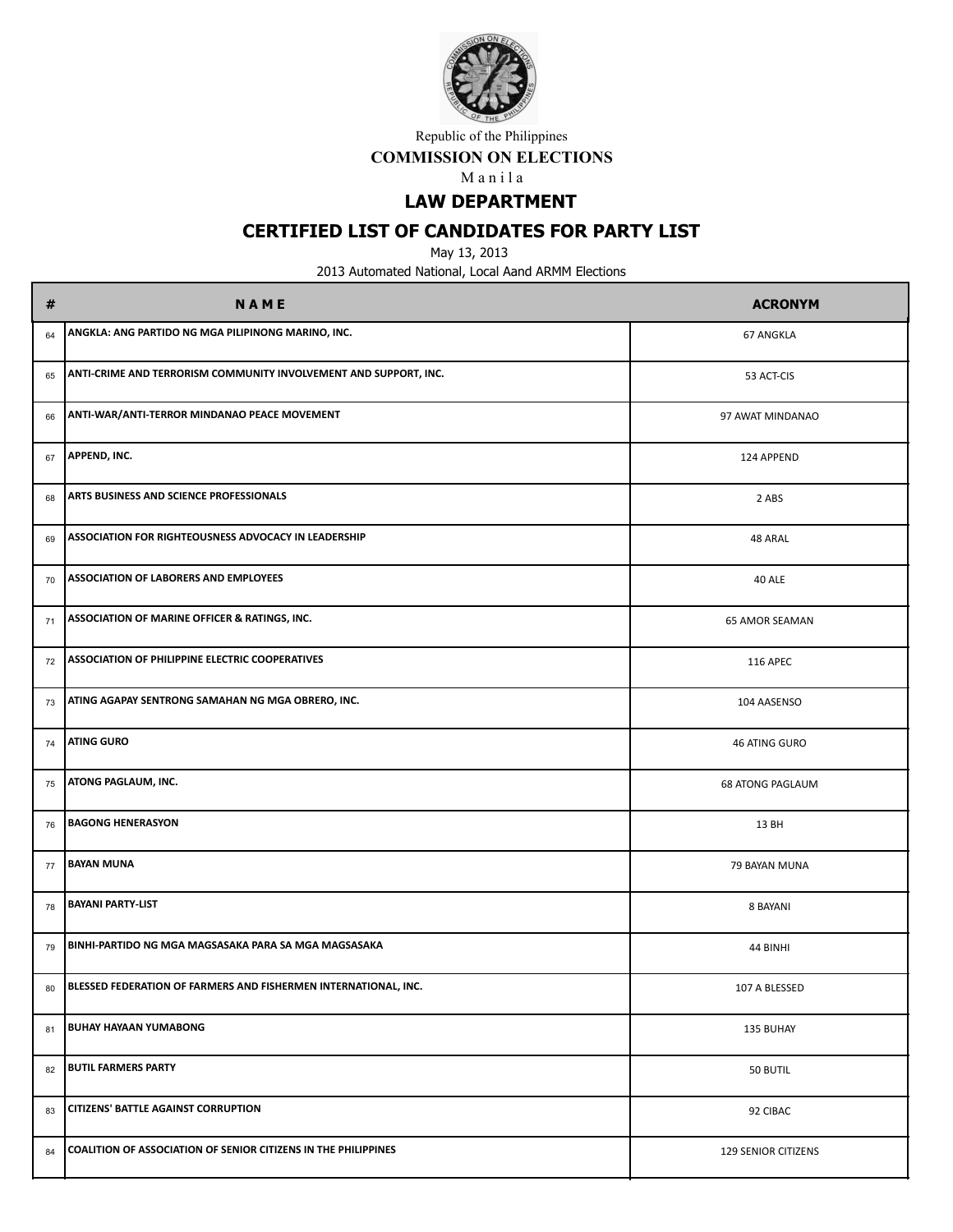

#### **COMMISSION ON ELECTIONS**

M a n i l a

# **LAW DEPARTMENT**

# **CERTIFIED LIST OF CANDIDATES FOR PARTY LIST**

May 13, 2013

| #  | <b>NAME</b>                                                      | <b>ACRONYM</b>             |
|----|------------------------------------------------------------------|----------------------------|
| 64 | ANGKLA: ANG PARTIDO NG MGA PILIPINONG MARINO, INC.               | <b>67 ANGKLA</b>           |
| 65 | ANTI-CRIME AND TERRORISM COMMUNITY INVOLVEMENT AND SUPPORT, INC. | 53 ACT-CIS                 |
| 66 | ANTI-WAR/ANTI-TERROR MINDANAO PEACE MOVEMENT                     | 97 AWAT MINDANAO           |
| 67 | APPEND, INC.                                                     | 124 APPEND                 |
| 68 | <b>ARTS BUSINESS AND SCIENCE PROFESSIONALS</b>                   | 2 ABS                      |
| 69 | <b>ASSOCIATION FOR RIGHTEOUSNESS ADVOCACY IN LEADERSHIP</b>      | 48 ARAL                    |
| 70 | <b>ASSOCIATION OF LABORERS AND EMPLOYEES</b>                     | 40 ALE                     |
| 71 | <b>ASSOCIATION OF MARINE OFFICER &amp; RATINGS, INC.</b>         | 65 AMOR SEAMAN             |
| 72 | <b>ASSOCIATION OF PHILIPPINE ELECTRIC COOPERATIVES</b>           | <b>116 APEC</b>            |
| 73 | ATING AGAPAY SENTRONG SAMAHAN NG MGA OBRERO, INC.                | 104 AASENSO                |
| 74 | <b>ATING GURO</b>                                                | 46 ATING GURO              |
| 75 | <b>ATONG PAGLAUM, INC.</b>                                       | <b>68 ATONG PAGLAUM</b>    |
| 76 | <b>BAGONG HENERASYON</b>                                         | 13 BH                      |
| 77 | <b>BAYAN MUNA</b>                                                | 79 BAYAN MUNA              |
| 78 | <b>BAYANI PARTY-LIST</b>                                         | 8 BAYANI                   |
| 79 | BINHI-PARTIDO NG MGA MAGSASAKA PARA SA MGA MAGSASAKA             | 44 BINHI                   |
| 80 | BLESSED FEDERATION OF FARMERS AND FISHERMEN INTERNATIONAL, INC.  | 107 A BLESSED              |
| 81 | <b>BUHAY HAYAAN YUMABONG</b>                                     | 135 BUHAY                  |
| 82 | <b>BUTIL FARMERS PARTY</b>                                       | 50 BUTIL                   |
| 83 | <b>CITIZENS' BATTLE AGAINST CORRUPTION</b>                       | 92 CIBAC                   |
| 84 | COALITION OF ASSOCIATION OF SENIOR CITIZENS IN THE PHILIPPINES   | <b>129 SENIOR CITIZENS</b> |
|    |                                                                  |                            |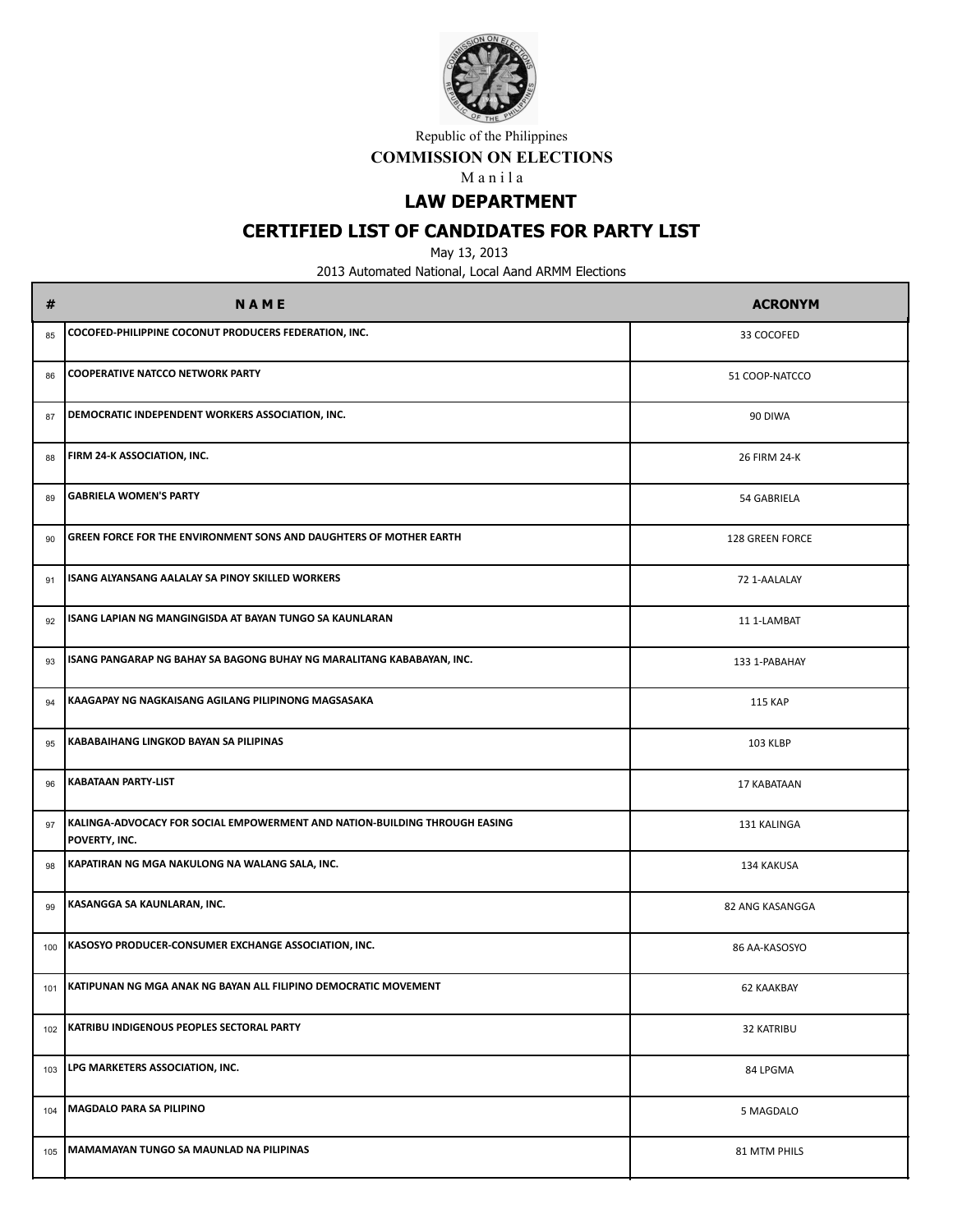

#### **COMMISSION ON ELECTIONS**

M a n i l a

# **LAW DEPARTMENT**

# **CERTIFIED LIST OF CANDIDATES FOR PARTY LIST**

May 13, 2013

| #   | <b>NAME</b>                                                                                 | <b>ACRONYM</b>  |
|-----|---------------------------------------------------------------------------------------------|-----------------|
| 85  | COCOFED-PHILIPPINE COCONUT PRODUCERS FEDERATION, INC.                                       | 33 COCOFED      |
| 86  | <b>COOPERATIVE NATCCO NETWORK PARTY</b>                                                     | 51 COOP-NATCCO  |
| 87  | DEMOCRATIC INDEPENDENT WORKERS ASSOCIATION, INC.                                            | 90 DIWA         |
| 88  | FIRM 24-K ASSOCIATION, INC.                                                                 | 26 FIRM 24-K    |
| 89  | <b>GABRIELA WOMEN'S PARTY</b>                                                               | 54 GABRIELA     |
| 90  | GREEN FORCE FOR THE ENVIRONMENT SONS AND DAUGHTERS OF MOTHER EARTH                          | 128 GREEN FORCE |
| 91  | ISANG ALYANSANG AALALAY SA PINOY SKILLED WORKERS                                            | 72 1-AALALAY    |
| 92  | ISANG LAPIAN NG MANGINGISDA AT BAYAN TUNGO SA KAUNLARAN                                     | 11 1-LAMBAT     |
| 93  | ISANG PANGARAP NG BAHAY SA BAGONG BUHAY NG MARALITANG KABABAYAN, INC.                       | 133 1-PABAHAY   |
| 94  | KAAGAPAY NG NAGKAISANG AGILANG PILIPINONG MAGSASAKA                                         | <b>115 KAP</b>  |
| 95  | KABABAIHANG LINGKOD BAYAN SA PILIPINAS                                                      | 103 KLBP        |
| 96  | <b>KABATAAN PARTY-LIST</b>                                                                  | 17 KABATAAN     |
| 97  | KALINGA-ADVOCACY FOR SOCIAL EMPOWERMENT AND NATION-BUILDING THROUGH EASING<br>POVERTY, INC. | 131 KALINGA     |
| 98  | KAPATIRAN NG MGA NAKULONG NA WALANG SALA, INC.                                              | 134 KAKUSA      |
| 99  | KASANGGA SA KAUNLARAN, INC.                                                                 | 82 ANG KASANGGA |
| 100 | KASOSYO PRODUCER-CONSUMER EXCHANGE ASSOCIATION, INC.                                        | 86 AA-KASOSYO   |
| 101 | KATIPUNAN NG MGA ANAK NG BAYAN ALL FILIPINO DEMOCRATIC MOVEMENT                             | 62 KAAKBAY      |
| 102 | KATRIBU INDIGENOUS PEOPLES SECTORAL PARTY                                                   | 32 KATRIBU      |
| 103 | LPG MARKETERS ASSOCIATION, INC.                                                             | 84 LPGMA        |
| 104 | MAGDALO PARA SA PILIPINO                                                                    | 5 MAGDALO       |
| 105 | MAMAMAYAN TUNGO SA MAUNLAD NA PILIPINAS                                                     | 81 MTM PHILS    |
|     |                                                                                             |                 |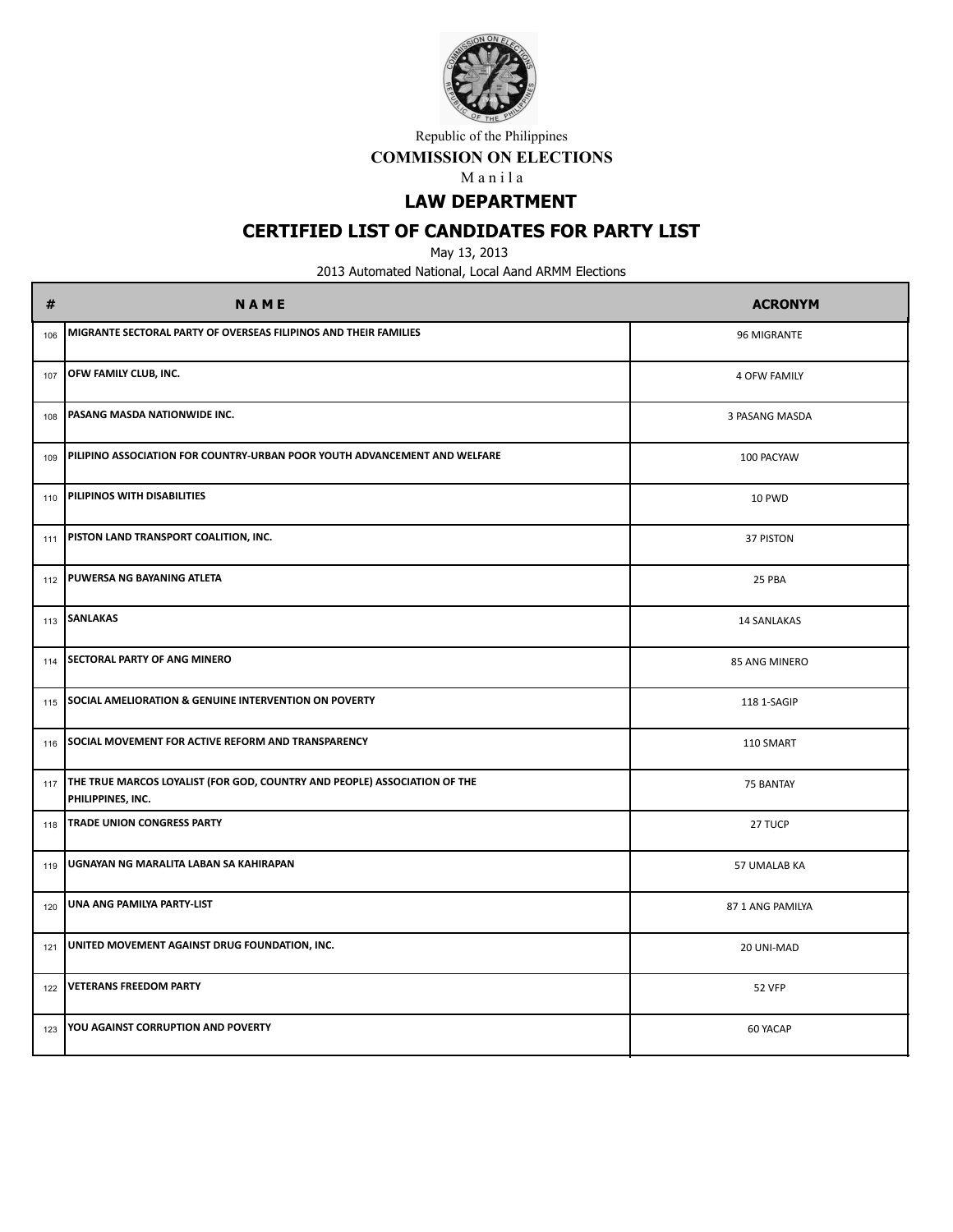

#### **COMMISSION ON ELECTIONS**

M a n i l a

# **LAW DEPARTMENT**

## **CERTIFIED LIST OF CANDIDATES FOR PARTY LIST**

May 13, 2013

| #   | <b>NAME</b>                                                                                          | <b>ACRONYM</b>      |
|-----|------------------------------------------------------------------------------------------------------|---------------------|
| 106 | MIGRANTE SECTORAL PARTY OF OVERSEAS FILIPINOS AND THEIR FAMILIES                                     | 96 MIGRANTE         |
| 107 | OFW FAMILY CLUB, INC.                                                                                | <b>4 OFW FAMILY</b> |
| 108 | PASANG MASDA NATIONWIDE INC.                                                                         | 3 PASANG MASDA      |
| 109 | PILIPINO ASSOCIATION FOR COUNTRY-URBAN POOR YOUTH ADVANCEMENT AND WELFARE                            | 100 PACYAW          |
| 110 | PILIPINOS WITH DISABILITIES                                                                          | 10 PWD              |
| 111 | <b>PISTON LAND TRANSPORT COALITION, INC.</b>                                                         | 37 PISTON           |
| 112 | PUWERSA NG BAYANING ATLETA                                                                           | 25 PBA              |
| 113 | <b>SANLAKAS</b>                                                                                      | <b>14 SANLAKAS</b>  |
| 114 | <b>SECTORAL PARTY OF ANG MINERO</b>                                                                  | 85 ANG MINERO       |
| 115 | <b>SOCIAL AMELIORATION &amp; GENUINE INTERVENTION ON POVERTY</b>                                     | 118 1-SAGIP         |
| 116 | SOCIAL MOVEMENT FOR ACTIVE REFORM AND TRANSPARENCY                                                   | 110 SMART           |
|     | 117   THE TRUE MARCOS LOYALIST (FOR GOD, COUNTRY AND PEOPLE) ASSOCIATION OF THE<br>PHILIPPINES, INC. | 75 BANTAY           |
| 118 | TRADE UNION CONGRESS PARTY                                                                           | 27 TUCP             |
| 119 | UGNAYAN NG MARALITA LABAN SA KAHIRAPAN                                                               | 57 UMALAB KA        |
| 120 | UNA ANG PAMILYA PARTY-LIST                                                                           | 87 1 ANG PAMILYA    |
| 121 | UNITED MOVEMENT AGAINST DRUG FOUNDATION, INC.                                                        | 20 UNI-MAD          |
| 122 | <b>VETERANS FREEDOM PARTY</b>                                                                        | <b>52 VFP</b>       |
| 123 | YOU AGAINST CORRUPTION AND POVERTY                                                                   | 60 YACAP            |